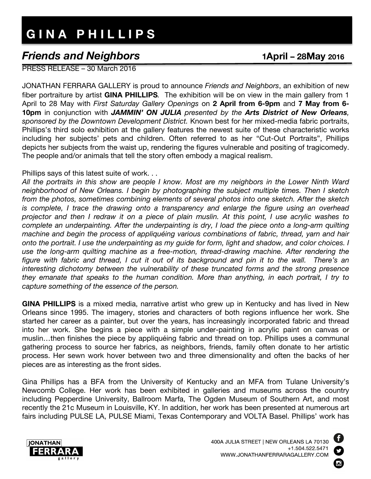## **G I N A P H I L L I P S**

## *Friends and Neighbors* **1April – 28May <sup>2016</sup>**

PRESS RELEASE – 30 March 2016

JONATHAN FERRARA GALLERY is proud to announce *Friends and Neighbors*, an exhibition of new fiber portraiture by artist **GINA PHILLIPS***.* The exhibition will be on view in the main gallery from 1 April to 28 May with *First Saturday Gallery Openings* on **2 April from 6-9pm** and **7 May from 6- 10pm** in conjunction with *JAMMIN' ON JULIA presented by the Arts District of New Orleans, sponsored by the Downtown Development District.* Known best for her mixed-media fabric portraits, Phillips's third solo exhibition at the gallery features the newest suite of these characteristic works including her subjects' pets and children. Often referred to as her "Cut-Out Portraits", Phillips depicts her subjects from the waist up, rendering the figures vulnerable and positing of tragicomedy. The people and/or animals that tell the story often embody a magical realism.

Phillips says of this latest suite of work. . .

*All the portraits in this show are people I know. Most are my neighbors in the Lower Ninth Ward neighborhood of New Orleans. I begin by photographing the subject multiple times. Then I sketch from the photos, sometimes combining elements of several photos into one sketch. After the sketch is complete, I trace the drawing onto a transparency and enlarge the figure using an overhead projector and then I redraw it on a piece of plain muslin. At this point, I use acrylic washes to complete an underpainting. After the underpainting is dry, I load the piece onto a long-arm quilting machine and begin the process of appliquéing various combinations of fabric, thread, yarn and hair onto the portrait. I use the underpainting as my guide for form, light and shadow, and color choices. I use the long-arm quilting machine as a free-motion, thread-drawing machine. After rendering the figure with fabric and thread, I cut it out of its background and pin it to the wall. There's an interesting dichotomy between the vulnerability of these truncated forms and the strong presence they emanate that speaks to the human condition. More than anything, in each portrait, I try to capture something of the essence of the person.* 

**GINA PHILLIPS** is a mixed media, narrative artist who grew up in Kentucky and has lived in New Orleans since 1995. The imagery, stories and characters of both regions influence her work. She started her career as a painter, but over the years, has increasingly incorporated fabric and thread into her work. She begins a piece with a simple under-painting in acrylic paint on canvas or muslin…then finishes the piece by appliquéing fabric and thread on top. Phillips uses a communal gathering process to source her fabrics, as neighbors, friends, family often donate to her artistic process. Her sewn work hover between two and three dimensionality and often the backs of her pieces are as interesting as the front sides.

Gina Phillips has a BFA from the University of Kentucky and an MFA from Tulane University's Newcomb College. Her work has been exhibited in galleries and museums across the country including Pepperdine University, Ballroom Marfa, The Ogden Museum of Southern Art, and most recently the 21c Museum in Louisville, KY. In addition, her work has been presented at numerous art fairs including PULSE LA, PULSE Miami, Texas Contemporary and VOLTA Basel. Phillips' work has